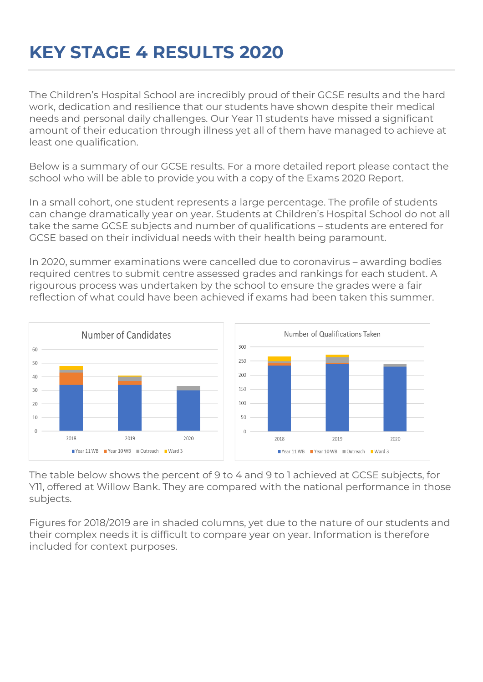## **KEY STAGE 4 RESULTS 2020**

The Children's Hospital School are incredibly proud of their GCSE results and the hard work, dedication and resilience that our students have shown despite their medical needs and personal daily challenges. Our Year 11 students have missed a significant amount of their education through illness yet all of them have managed to achieve at least one qualification.

Below is a summary of our GCSE results. For a more detailed report please contact the school who will be able to provide you with a copy of the Exams 2020 Report.

In a small cohort, one student represents a large percentage. The profile of students can change dramatically year on year. Students at Children's Hospital School do not all take the same GCSE subjects and number of qualifications – students are entered for GCSE based on their individual needs with their health being paramount.

In 2020, summer examinations were cancelled due to coronavirus – awarding bodies required centres to submit centre assessed grades and rankings for each student. A rigourous process was undertaken by the school to ensure the grades were a fair reflection of what could have been achieved if exams had been taken this summer.



The table below shows the percent of 9 to 4 and 9 to 1 achieved at GCSE subjects, for Y11, offered at Willow Bank. They are compared with the national performance in those subjects.

Figures for 2018/2019 are in shaded columns, yet due to the nature of our students and their complex needs it is difficult to compare year on year. Information is therefore included for context purposes.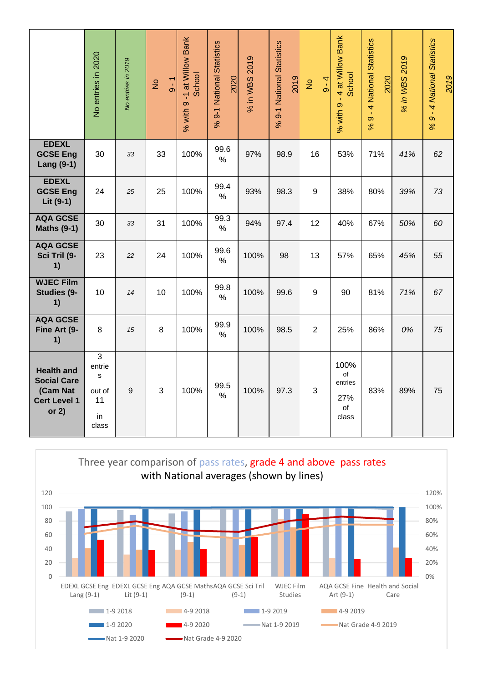|                                                                                       | No entries in 2020                              | No entries in 2019 | $-6 - 1$<br>$\frac{1}{2}$ | % with 9 -1 at Willow Bank<br>School | National Statistics<br>2020<br>$\overline{9}$ -1<br>$\infty$ | in WBS 2019<br>$\aleph$ | 9-1 National Statistics<br>2019<br>$\infty$ | $9 - 4$<br>$\frac{1}{2}$ | 9 - 4 at Willow Bank<br>School<br>% with    | - 4 National Statistics<br>2020<br>$\circ$<br>$\infty$ | % in WBS 2019 | - 4 National Statistics<br>2019<br>$\infty$<br>$\%$ |
|---------------------------------------------------------------------------------------|-------------------------------------------------|--------------------|---------------------------|--------------------------------------|--------------------------------------------------------------|-------------------------|---------------------------------------------|--------------------------|---------------------------------------------|--------------------------------------------------------|---------------|-----------------------------------------------------|
| <b>EDEXL</b><br><b>GCSE Eng</b><br><b>Lang (9-1)</b>                                  | 30                                              | 33                 | 33                        | 100%                                 | 99.6<br>%                                                    | 97%                     | 98.9                                        | 16                       | 53%                                         | 71%                                                    | 41%           | 62                                                  |
| <b>EDEXL</b><br><b>GCSE Eng</b><br>Lit (9-1)                                          | 24                                              | 25                 | 25                        | 100%                                 | 99.4<br>$\%$                                                 | 93%                     | 98.3                                        | 9                        | 38%                                         | 80%                                                    | 39%           | 73                                                  |
| <b>AQA GCSE</b><br><b>Maths (9-1)</b>                                                 | 30                                              | 33                 | 31                        | 100%                                 | 99.3<br>%                                                    | 94%                     | 97.4                                        | 12                       | 40%                                         | 67%                                                    | 50%           | 60                                                  |
| <b>AQA GCSE</b><br>Sci Tril (9-<br>1)                                                 | 23                                              | 22                 | 24                        | 100%                                 | 99.6<br>%                                                    | 100%                    | 98                                          | 13                       | 57%                                         | 65%                                                    | 45%           | 55                                                  |
| <b>WJEC Film</b><br>Studies (9-<br>1)                                                 | 10                                              | 14                 | 10                        | 100%                                 | 99.8<br>$\%$                                                 | 100%                    | 99.6                                        | 9                        | 90                                          | 81%                                                    | 71%           | 67                                                  |
| <b>AQA GCSE</b><br>Fine Art (9-<br>1)                                                 | 8                                               | 15                 | 8                         | 100%                                 | 99.9<br>$\%$                                                 | 100%                    | 98.5                                        | $\overline{2}$           | 25%                                         | 86%                                                    | 0%            | 75                                                  |
| <b>Health and</b><br><b>Social Care</b><br>(Cam Nat<br><b>Cert Level 1</b><br>or $2)$ | 3<br>entrie<br>s<br>out of<br>11<br>in<br>class | 9                  | 3                         | 100%                                 | 99.5<br>$\%$                                                 | 100%                    | 97.3                                        | 3                        | 100%<br>of<br>entries<br>27%<br>of<br>class | 83%                                                    | 89%           | 75                                                  |

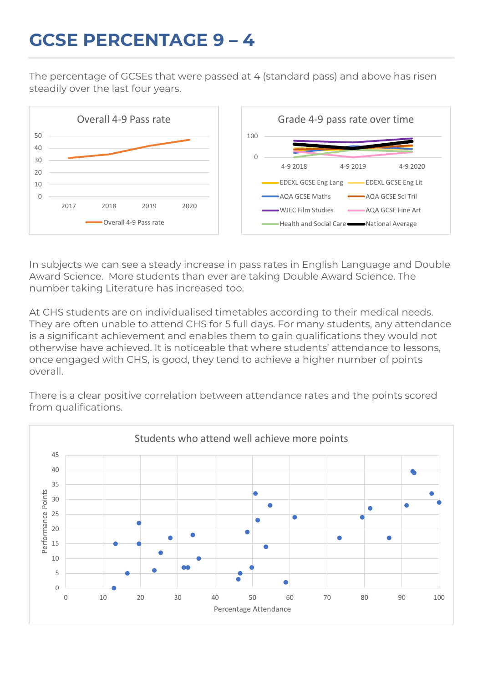## **GCSE PERCENTAGE 9 – 4**

The percentage of GCSEs that were passed at 4 (standard pass) and above has risen steadily over the last four years.



In subjects we can see a steady increase in pass rates in English Language and Double Award Science. More students than ever are taking Double Award Science. The number taking Literature has increased too.

At CHS students are on individualised timetables according to their medical needs. They are often unable to attend CHS for 5 full days. For many students, any attendance is a significant achievement and enables them to gain qualifications they would not otherwise have achieved. It is noticeable that where students' attendance to lessons, once engaged with CHS, is good, they tend to achieve a higher number of points overall.

There is a clear positive correlation between attendance rates and the points scored from qualifications.

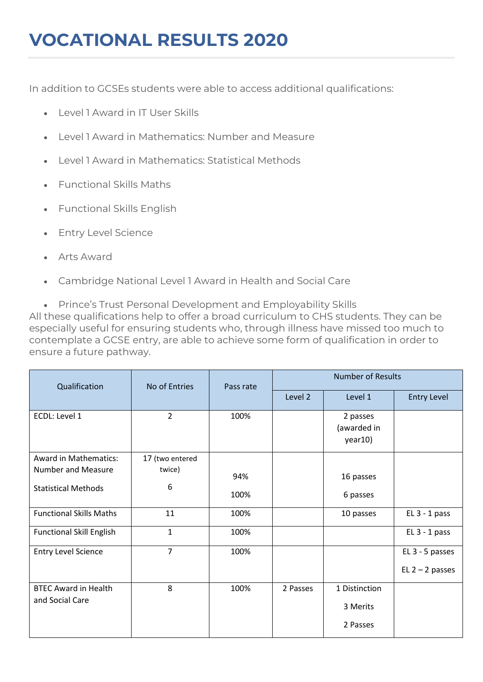## **VOCATIONAL RESULTS 2020**

In addition to GCSEs students were able to access additional qualifications:

- Level 1 Award in IT User Skills
- Level 1 Award in Mathematics: Number and Measure
- Level 1 Award in Mathematics: Statistical Methods
- Functional Skills Maths
- Functional Skills English
- Entry Level Science
- Arts Award
- Cambridge National Level 1 Award in Health and Social Care

• Prince's Trust Personal Development and Employability Skills All these qualifications help to offer a broad curriculum to CHS students. They can be especially useful for ensuring students who, through illness have missed too much to contemplate a GCSE entry, are able to achieve some form of qualification in order to ensure a future pathway.

| Qualification                   | No of Entries   | Pass rate | <b>Number of Results</b> |                                    |                    |  |
|---------------------------------|-----------------|-----------|--------------------------|------------------------------------|--------------------|--|
|                                 |                 |           | Level 2                  | Level 1                            | <b>Entry Level</b> |  |
| ECDL: Level 1                   | $\overline{2}$  | 100%      |                          | 2 passes<br>(awarded in<br>year10) |                    |  |
| <b>Award in Mathematics:</b>    | 17 (two entered |           |                          |                                    |                    |  |
| <b>Number and Measure</b>       | twice)          | 94%       |                          | 16 passes                          |                    |  |
| <b>Statistical Methods</b>      | 6               | 100%      |                          | 6 passes                           |                    |  |
| <b>Functional Skills Maths</b>  | 11              | 100%      |                          | 10 passes                          | $EL$ 3 - 1 pass    |  |
| <b>Functional Skill English</b> | $\mathbf{1}$    | 100%      |                          |                                    | $EL 3 - 1 pass$    |  |
| <b>Entry Level Science</b>      | $\overline{7}$  | 100%      |                          |                                    | EL 3 - 5 passes    |  |
|                                 |                 |           |                          |                                    | $EL$ 2 – 2 passes  |  |
| <b>BTEC Award in Health</b>     | 8               | 100%      | 2 Passes                 | 1 Distinction                      |                    |  |
| and Social Care                 |                 |           |                          | 3 Merits                           |                    |  |
|                                 |                 |           |                          | 2 Passes                           |                    |  |